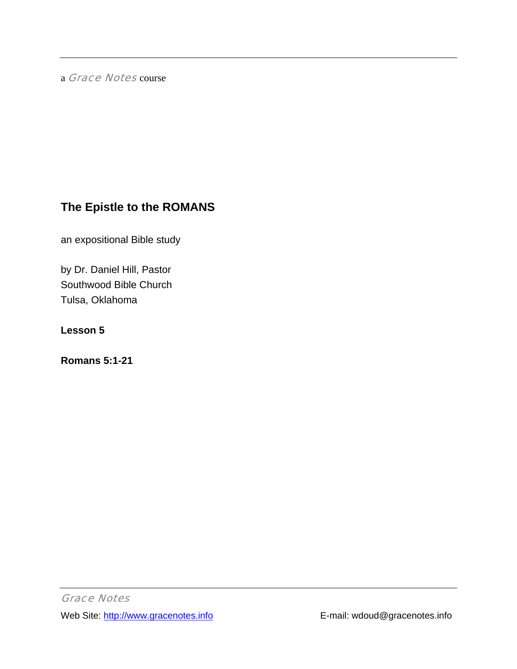a Grace Notes course

# **The Epistle to the ROMANS**

an expositional Bible study

by Dr. Daniel Hill, Pastor Southwood Bible Church Tulsa, Oklahoma

**Lesson 5** 

**Romans 5:1-21**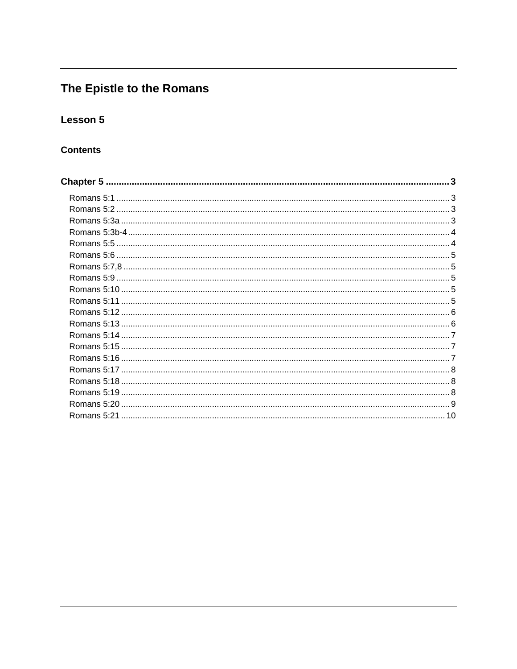# The Epistle to the Romans

# Lesson 5

# **Contents**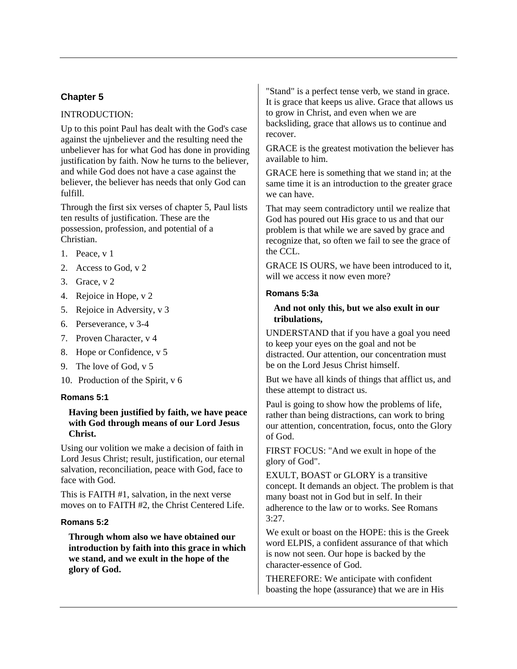# <span id="page-2-0"></span>**Chapter 5**

# INTRODUCTION:

Up to this point Paul has dealt with the God's case against the ujnbeliever and the resulting need the unbeliever has for what God has done in providing justification by faith. Now he turns to the believer, and while God does not have a case against the believer, the believer has needs that only God can fulfill.

Through the first six verses of chapter 5, Paul lists ten results of justification. These are the possession, profession, and potential of a Christian.

- 1. Peace, v 1
- 2. Access to God, v 2
- 3. Grace, v 2
- 4. Rejoice in Hope, v 2
- 5. Rejoice in Adversity, v 3
- 6. Perseverance, v 3-4
- 7. Proven Character, v 4
- 8. Hope or Confidence, v 5
- 9. The love of God, v 5
- 10. Production of the Spirit, v 6

## **Romans 5:1**

# **Having been justified by faith, we have peace with God through means of our Lord Jesus Christ.**

Using our volition we make a decision of faith in Lord Jesus Christ; result, justification, our eternal salvation, reconciliation, peace with God, face to face with God.

This is FAITH #1, salvation, in the next verse moves on to FAITH #2, the Christ Centered Life.

## **Romans 5:2**

**Through whom also we have obtained our introduction by faith into this grace in which we stand, and we exult in the hope of the glory of God.** 

"Stand" is a perfect tense verb, we stand in grace. It is grace that keeps us alive. Grace that allows us to grow in Christ, and even when we are backsliding, grace that allows us to continue and recover.

GRACE is the greatest motivation the believer has available to him.

GRACE here is something that we stand in; at the same time it is an introduction to the greater grace we can have.

That may seem contradictory until we realize that God has poured out His grace to us and that our problem is that while we are saved by grace and recognize that, so often we fail to see the grace of the CCL.

GRACE IS OURS, we have been introduced to it, will we access it now even more?

#### **Romans 5:3a**

#### **And not only this, but we also exult in our tribulations,**

UNDERSTAND that if you have a goal you need to keep your eyes on the goal and not be distracted. Our attention, our concentration must be on the Lord Jesus Christ himself.

But we have all kinds of things that afflict us, and these attempt to distract us.

Paul is going to show how the problems of life, rather than being distractions, can work to bring our attention, concentration, focus, onto the Glory of God.

FIRST FOCUS: "And we exult in hope of the glory of God".

EXULT, BOAST or GLORY is a transitive concept. It demands an object. The problem is that many boast not in God but in self. In their adherence to the law or to works. See Romans  $3:27.$ 

We exult or boast on the HOPE: this is the Greek word ELPIS, a confident assurance of that which is now not seen. Our hope is backed by the character-essence of God.

THEREFORE: We anticipate with confident boasting the hope (assurance) that we are in His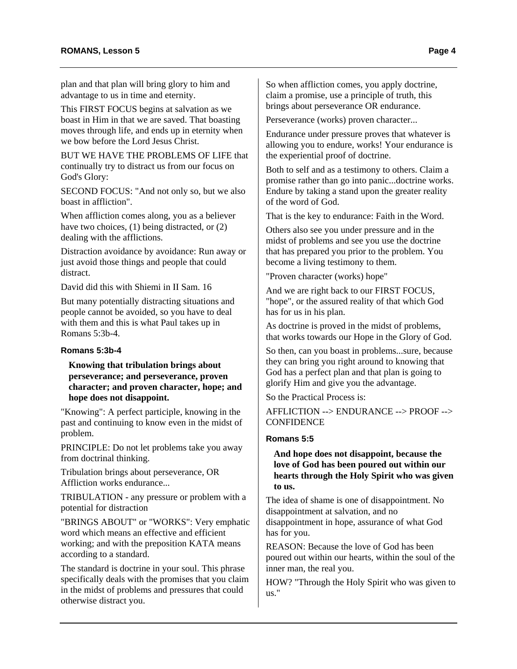<span id="page-3-0"></span>plan and that plan will bring glory to him and advantage to us in time and eternity.

This FIRST FOCUS begins at salvation as we boast in Him in that we are saved. That boasting moves through life, and ends up in eternity when we bow before the Lord Jesus Christ.

BUT WE HAVE THE PROBLEMS OF LIFE that continually try to distract us from our focus on God's Glory:

SECOND FOCUS: "And not only so, but we also boast in affliction".

When affliction comes along, you as a believer have two choices, (1) being distracted, or (2) dealing with the afflictions.

Distraction avoidance by avoidance: Run away or just avoid those things and people that could distract.

David did this with Shiemi in II Sam. 16

But many potentially distracting situations and people cannot be avoided, so you have to deal with them and this is what Paul takes up in Romans 5:3b-4.

## **Romans 5:3b-4**

# **Knowing that tribulation brings about perseverance; and perseverance, proven character; and proven character, hope; and hope does not disappoint.**

"Knowing": A perfect participle, knowing in the past and continuing to know even in the midst of problem.

PRINCIPLE: Do not let problems take you away from doctrinal thinking.

Tribulation brings about perseverance, OR Affliction works endurance...

TRIBULATION - any pressure or problem with a potential for distraction

"BRINGS ABOUT" or "WORKS": Very emphatic word which means an effective and efficient working; and with the preposition KATA means according to a standard.

The standard is doctrine in your soul. This phrase specifically deals with the promises that you claim in the midst of problems and pressures that could otherwise distract you.

So when affliction comes, you apply doctrine, claim a promise, use a principle of truth, this brings about perseverance OR endurance.

Perseverance (works) proven character...

Endurance under pressure proves that whatever is allowing you to endure, works! Your endurance is the experiential proof of doctrine.

Both to self and as a testimony to others. Claim a promise rather than go into panic...doctrine works. Endure by taking a stand upon the greater reality of the word of God.

That is the key to endurance: Faith in the Word.

Others also see you under pressure and in the midst of problems and see you use the doctrine that has prepared you prior to the problem. You become a living testimony to them.

"Proven character (works) hope"

And we are right back to our FIRST FOCUS, "hope", or the assured reality of that which God has for us in his plan.

As doctrine is proved in the midst of problems, that works towards our Hope in the Glory of God.

So then, can you boast in problems...sure, because they can bring you right around to knowing that God has a perfect plan and that plan is going to glorify Him and give you the advantage.

So the Practical Process is:

AFFLICTION --> ENDURANCE --> PROOF --> **CONFIDENCE** 

## **Romans 5:5**

# **And hope does not disappoint, because the love of God has been poured out within our hearts through the Holy Spirit who was given to us.**

The idea of shame is one of disappointment. No disappointment at salvation, and no disappointment in hope, assurance of what God has for you.

REASON: Because the love of God has been poured out within our hearts, within the soul of the inner man, the real you.

HOW? "Through the Holy Spirit who was given to us."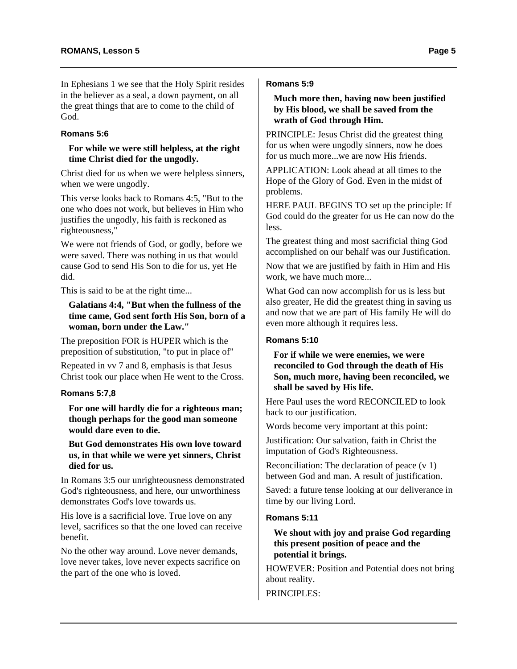# <span id="page-4-0"></span>**Romans 5:6**

#### **For while we were still helpless, at the right time Christ died for the ungodly.**

Christ died for us when we were helpless sinners, when we were ungodly.

This verse looks back to Romans 4:5, "But to the one who does not work, but believes in Him who justifies the ungodly, his faith is reckoned as righteousness,"

We were not friends of God, or godly, before we were saved. There was nothing in us that would cause God to send His Son to die for us, yet He did.

This is said to be at the right time...

# **Galatians 4:4, "But when the fullness of the time came, God sent forth His Son, born of a woman, born under the Law."**

The preposition FOR is HUPER which is the preposition of substitution, "to put in place of"

Repeated in vv 7 and 8, emphasis is that Jesus Christ took our place when He went to the Cross.

# **Romans 5:7,8**

**For one will hardly die for a righteous man; though perhaps for the good man someone would dare even to die.** 

**But God demonstrates His own love toward us, in that while we were yet sinners, Christ died for us.** 

In Romans 3:5 our unrighteousness demonstrated God's righteousness, and here, our unworthiness demonstrates God's love towards us.

His love is a sacrificial love. True love on any level, sacrifices so that the one loved can receive benefit.

No the other way around. Love never demands, love never takes, love never expects sacrifice on the part of the one who is loved.

# **Romans 5:9**

# **Much more then, having now been justified by His blood, we shall be saved from the wrath of God through Him.**

PRINCIPLE: Jesus Christ did the greatest thing for us when were ungodly sinners, now he does for us much more...we are now His friends.

APPLICATION: Look ahead at all times to the Hope of the Glory of God. Even in the midst of problems.

HERE PAUL BEGINS TO set up the principle: If God could do the greater for us He can now do the less.

The greatest thing and most sacrificial thing God accomplished on our behalf was our Justification.

Now that we are justified by faith in Him and His work, we have much more...

What God can now accomplish for us is less but also greater, He did the greatest thing in saving us and now that we are part of His family He will do even more although it requires less.

# **Romans 5:10**

# **For if while we were enemies, we were reconciled to God through the death of His Son, much more, having been reconciled, we shall be saved by His life.**

Here Paul uses the word RECONCILED to look back to our justification.

Words become very important at this point:

Justification: Our salvation, faith in Christ the imputation of God's Righteousness.

Reconciliation: The declaration of peace (v 1) between God and man. A result of justification.

Saved: a future tense looking at our deliverance in time by our living Lord.

# **Romans 5:11**

## **We shout with joy and praise God regarding this present position of peace and the potential it brings.**

HOWEVER: Position and Potential does not bring about reality.

PRINCIPLES: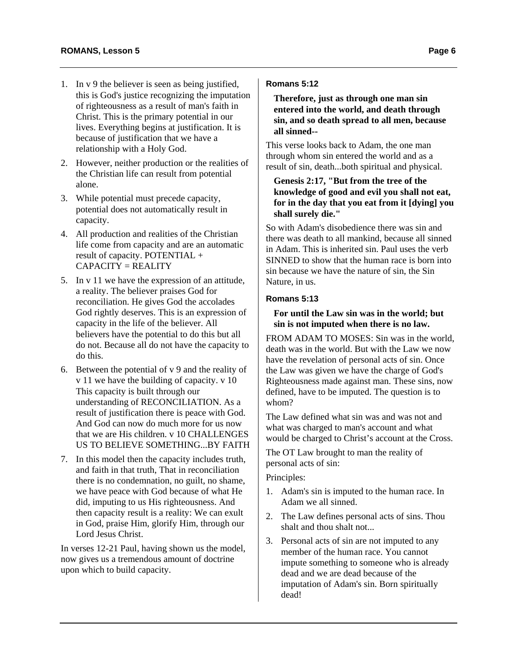- <span id="page-5-0"></span>1. In v 9 the believer is seen as being justified, this is God's justice recognizing the imputation of righteousness as a result of man's faith in Christ. This is the primary potential in our lives. Everything begins at justification. It is because of justification that we have a relationship with a Holy God.
- 2. However, neither production or the realities of the Christian life can result from potential alone.
- 3. While potential must precede capacity, potential does not automatically result in capacity.
- 4. All production and realities of the Christian life come from capacity and are an automatic result of capacity. POTENTIAL + CAPACITY = REALITY
- 5. In v 11 we have the expression of an attitude, a reality. The believer praises God for reconciliation. He gives God the accolades God rightly deserves. This is an expression of capacity in the life of the believer. All believers have the potential to do this but all do not. Because all do not have the capacity to do this.
- 6. Between the potential of v 9 and the reality of v 11 we have the building of capacity. v 10 This capacity is built through our understanding of RECONCILIATION. As a result of justification there is peace with God. And God can now do much more for us now that we are His children v 10 CHALLENGES US TO BELIEVE SOMETHING...BY FAITH
- 7. In this model then the capacity includes truth, and faith in that truth, That in reconciliation there is no condemnation, no guilt, no shame, we have peace with God because of what He did, imputing to us His righteousness. And then capacity result is a reality: We can exult in God, praise Him, glorify Him, through our Lord Jesus Christ.

In verses 12-21 Paul, having shown us the model, now gives us a tremendous amount of doctrine upon which to build capacity.

# **Romans 5:12**

**Therefore, just as through one man sin entered into the world, and death through sin, and so death spread to all men, because all sinned--** 

This verse looks back to Adam, the one man through whom sin entered the world and as a result of sin, death...both spiritual and physical.

# **Genesis 2:17, "But from the tree of the knowledge of good and evil you shall not eat, for in the day that you eat from it [dying] you shall surely die."**

So with Adam's disobedience there was sin and there was death to all mankind, because all sinned in Adam. This is inherited sin. Paul uses the verb SINNED to show that the human race is born into sin because we have the nature of sin, the Sin Nature, in us.

# **Romans 5:13**

# **For until the Law sin was in the world; but sin is not imputed when there is no law.**

FROM ADAM TO MOSES: Sin was in the world, death was in the world. But with the Law we now have the revelation of personal acts of sin. Once the Law was given we have the charge of God's Righteousness made against man. These sins, now defined, have to be imputed. The question is to whom?

The Law defined what sin was and was not and what was charged to man's account and what would be charged to Christ's account at the Cross.

The OT Law brought to man the reality of personal acts of sin:

Principles:

- 1. Adam's sin is imputed to the human race. In Adam we all sinned.
- 2. The Law defines personal acts of sins. Thou shalt and thou shalt not...
- 3. Personal acts of sin are not imputed to any member of the human race. You cannot impute something to someone who is already dead and we are dead because of the imputation of Adam's sin. Born spiritually dead!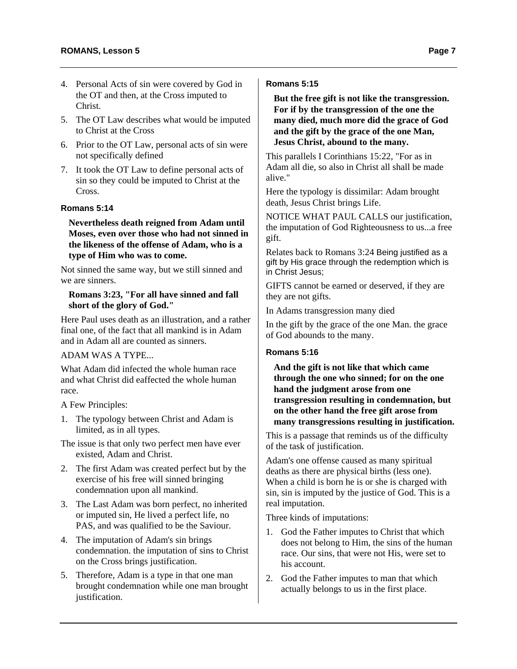- <span id="page-6-0"></span>4. Personal Acts of sin were covered by God in the OT and then, at the Cross imputed to Christ.
- 5. The OT Law describes what would be imputed to Christ at the Cross
- 6. Prior to the OT Law, personal acts of sin were not specifically defined
- 7. It took the OT Law to define personal acts of sin so they could be imputed to Christ at the Cross.

#### **Romans 5:14**

**Nevertheless death reigned from Adam until Moses, even over those who had not sinned in the likeness of the offense of Adam, who is a type of Him who was to come.** 

Not sinned the same way, but we still sinned and we are sinners.

#### **Romans 3:23, "For all have sinned and fall short of the glory of God."**

Here Paul uses death as an illustration, and a rather final one, of the fact that all mankind is in Adam and in Adam all are counted as sinners.

# ADAM WAS A TYPE...

What Adam did infected the whole human race and what Christ did eaffected the whole human race.

A Few Principles:

- 1. The typology between Christ and Adam is limited, as in all types.
- The issue is that only two perfect men have ever existed, Adam and Christ.
- 2. The first Adam was created perfect but by the exercise of his free will sinned bringing condemnation upon all mankind.
- 3. The Last Adam was born perfect, no inherited or imputed sin, He lived a perfect life, no PAS, and was qualified to be the Saviour.
- 4. The imputation of Adam's sin brings condemnation. the imputation of sins to Christ on the Cross brings justification.
- 5. Therefore, Adam is a type in that one man brought condemnation while one man brought justification.

# **Romans 5:15**

**But the free gift is not like the transgression. For if by the transgression of the one the many died, much more did the grace of God and the gift by the grace of the one Man, Jesus Christ, abound to the many.** 

This parallels I Corinthians 15:22, "For as in Adam all die, so also in Christ all shall be made alive."

Here the typology is dissimilar: Adam brought death, Jesus Christ brings Life.

NOTICE WHAT PAUL CALLS our justification, the imputation of God Righteousness to us...a free gift.

Relates back to Romans 3:24 Being justified as a gift by His grace through the redemption which is in Christ Jesus;

GIFTS cannot be earned or deserved, if they are they are not gifts.

In Adams transgression many died

In the gift by the grace of the one Man. the grace of God abounds to the many.

## **Romans 5:16**

**And the gift is not like that which came through the one who sinned; for on the one hand the judgment arose from one transgression resulting in condemnation, but on the other hand the free gift arose from many transgressions resulting in justification.** 

This is a passage that reminds us of the difficulty of the task of justification.

Adam's one offense caused as many spiritual deaths as there are physical births (less one). When a child is born he is or she is charged with sin, sin is imputed by the justice of God. This is a real imputation.

Three kinds of imputations:

- 1. God the Father imputes to Christ that which does not belong to Him, the sins of the human race. Our sins, that were not His, were set to his account.
- 2. God the Father imputes to man that which actually belongs to us in the first place.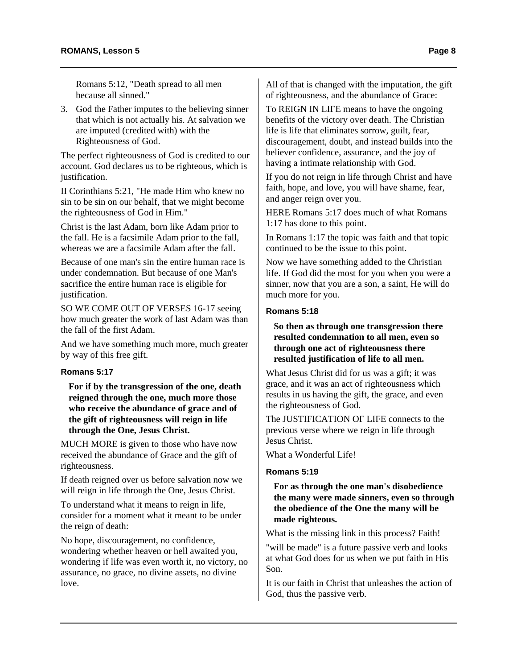<span id="page-7-0"></span>Romans 5:12, "Death spread to all men because all sinned."

3. God the Father imputes to the believing sinner that which is not actually his. At salvation we are imputed (credited with) with the Righteousness of God.

The perfect righteousness of God is credited to our account. God declares us to be righteous, which is justification.

II Corinthians 5:21, "He made Him who knew no sin to be sin on our behalf, that we might become the righteousness of God in Him."

Christ is the last Adam, born like Adam prior to the fall. He is a facsimile Adam prior to the fall, whereas we are a facsimile Adam after the fall.

Because of one man's sin the entire human race is under condemnation. But because of one Man's sacrifice the entire human race is eligible for justification.

SO WE COME OUT OF VERSES 16-17 seeing how much greater the work of last Adam was than the fall of the first Adam.

And we have something much more, much greater by way of this free gift.

#### **Romans 5:17**

**For if by the transgression of the one, death reigned through the one, much more those who receive the abundance of grace and of the gift of righteousness will reign in life through the One, Jesus Christ.** 

MUCH MORE is given to those who have now received the abundance of Grace and the gift of righteousness.

If death reigned over us before salvation now we will reign in life through the One, Jesus Christ.

To understand what it means to reign in life, consider for a moment what it meant to be under the reign of death:

No hope, discouragement, no confidence, wondering whether heaven or hell awaited you, wondering if life was even worth it, no victory, no assurance, no grace, no divine assets, no divine love.

All of that is changed with the imputation, the gift of righteousness, and the abundance of Grace:

To REIGN IN LIFE means to have the ongoing benefits of the victory over death. The Christian life is life that eliminates sorrow, guilt, fear, discouragement, doubt, and instead builds into the believer confidence, assurance, and the joy of having a intimate relationship with God.

If you do not reign in life through Christ and have faith, hope, and love, you will have shame, fear, and anger reign over you.

HERE Romans 5:17 does much of what Romans 1:17 has done to this point.

In Romans 1:17 the topic was faith and that topic continued to be the issue to this point.

Now we have something added to the Christian life. If God did the most for you when you were a sinner, now that you are a son, a saint, He will do much more for you.

### **Romans 5:18**

#### **So then as through one transgression there resulted condemnation to all men, even so through one act of righteousness there resulted justification of life to all men.**

What Jesus Christ did for us was a gift; it was grace, and it was an act of righteousness which results in us having the gift, the grace, and even the righteousness of God.

The JUSTIFICATION OF LIFE connects to the previous verse where we reign in life through Jesus Christ.

What a Wonderful Life!

#### **Romans 5:19**

## **For as through the one man's disobedience the many were made sinners, even so through the obedience of the One the many will be made righteous.**

What is the missing link in this process? Faith!

"will be made" is a future passive verb and looks at what God does for us when we put faith in His Son.

It is our faith in Christ that unleashes the action of God, thus the passive verb.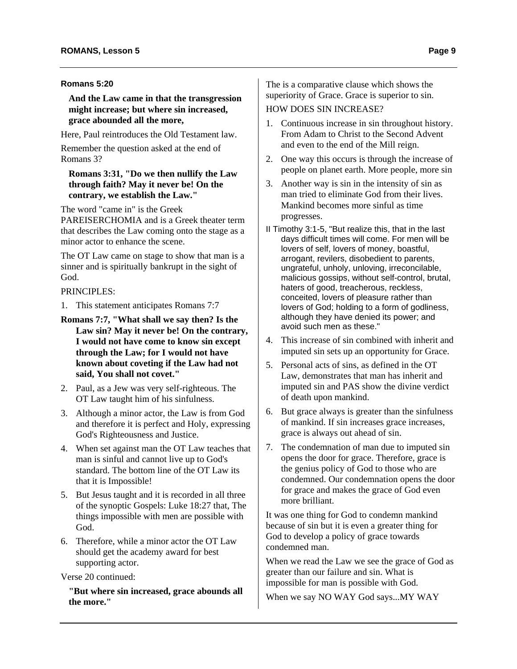#### <span id="page-8-0"></span>**Romans 5:20**

**And the Law came in that the transgression might increase; but where sin increased, grace abounded all the more,** 

Here, Paul reintroduces the Old Testament law.

Remember the question asked at the end of Romans 3?

# **Romans 3:31, "Do we then nullify the Law through faith? May it never be! On the contrary, we establish the Law."**

The word "came in" is the Greek

PAREISERCHOMIA and is a Greek theater term that describes the Law coming onto the stage as a minor actor to enhance the scene.

The OT Law came on stage to show that man is a sinner and is spiritually bankrupt in the sight of God.

PRINCIPLES:

- 1. This statement anticipates Romans 7:7
- **Romans 7:7, "What shall we say then? Is the Law sin? May it never be! On the contrary, I would not have come to know sin except through the Law; for I would not have known about coveting if the Law had not said, You shall not covet."**
- 2. Paul, as a Jew was very self-righteous. The OT Law taught him of his sinfulness.
- 3. Although a minor actor, the Law is from God and therefore it is perfect and Holy, expressing God's Righteousness and Justice.
- 4. When set against man the OT Law teaches that man is sinful and cannot live up to God's standard. The bottom line of the OT Law its that it is Impossible!
- 5. But Jesus taught and it is recorded in all three of the synoptic Gospels: Luke 18:27 that, The things impossible with men are possible with God.
- 6. Therefore, while a minor actor the OT Law should get the academy award for best supporting actor.

Verse 20 continued:

**"But where sin increased, grace abounds all the more."** 

The is a comparative clause which shows the superiority of Grace. Grace is superior to sin.

# HOW DOES SIN INCREASE?

- 1. Continuous increase in sin throughout history. From Adam to Christ to the Second Advent and even to the end of the Mill reign.
- 2. One way this occurs is through the increase of people on planet earth. More people, more sin
- 3. Another way is sin in the intensity of sin as man tried to eliminate God from their lives. Mankind becomes more sinful as time progresses.
- II Timothy 3:1-5, "But realize this, that in the last days difficult times will come. For men will be lovers of self, lovers of money, boastful, arrogant, revilers, disobedient to parents, ungrateful, unholy, unloving, irreconcilable, malicious gossips, without self-control, brutal, haters of good, treacherous, reckless, conceited, lovers of pleasure rather than lovers of God; holding to a form of godliness, although they have denied its power; and avoid such men as these."
- 4. This increase of sin combined with inherit and imputed sin sets up an opportunity for Grace.
- 5. Personal acts of sins, as defined in the OT Law, demonstrates that man has inherit and imputed sin and PAS show the divine verdict of death upon mankind.
- 6. But grace always is greater than the sinfulness of mankind. If sin increases grace increases, grace is always out ahead of sin.
- 7. The condemnation of man due to imputed sin opens the door for grace. Therefore, grace is the genius policy of God to those who are condemned. Our condemnation opens the door for grace and makes the grace of God even more brilliant.

It was one thing for God to condemn mankind because of sin but it is even a greater thing for God to develop a policy of grace towards condemned man.

When we read the Law we see the grace of God as greater than our failure and sin. What is impossible for man is possible with God.

When we say NO WAY God says...MY WAY